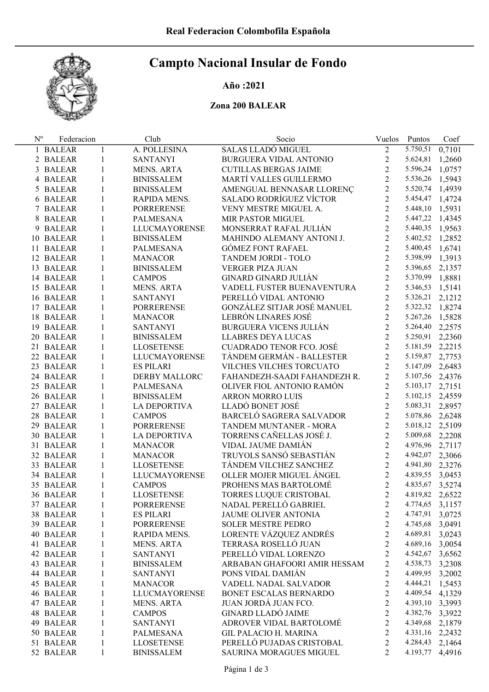# Campto Nacional Insular de Fondo

## Año :2021

# Zona 200 BALEAR

| $N^{o}$ | Federacion |              | Club                 | Socio                           | Vuelos         | Puntos          | Coef   |
|---------|------------|--------------|----------------------|---------------------------------|----------------|-----------------|--------|
|         | 1 BALEAR   | $\mathbf{1}$ | A. POLLESINA         | SALAS LLADÓ MIGUEL              | $\overline{2}$ | 5.750,51        | 0,7101 |
|         | 2 BALEAR   | $\mathbf{1}$ | <b>SANTANYI</b>      | BURGUERA VIDAL ANTONIO          | $\overline{2}$ | 5.624,81        | 1,2660 |
|         | 3 BALEAR   | 1            | MENS. ARTA           | <b>CUTILLAS BERGAS JAIME</b>    | $\overline{2}$ | 5.596,24        | 1,0757 |
|         | 4 BALEAR   | 1            | <b>BINISSALEM</b>    | MARTÍ VALLES GUILLERMO          | $\overline{2}$ | 5.536,26        | 1,5943 |
|         | 5 BALEAR   | 1            | <b>BINISSALEM</b>    | AMENGUAL BENNASAR LLORENC       | $\overline{2}$ | 5.520,74        | 1,4939 |
|         | 6 BALEAR   | 1            | RAPIDA MENS.         | SALADO RODRÍGUEZ VÍCTOR         | $\overline{2}$ | 5.454,47        | 1,4724 |
|         | 7 BALEAR   | 1            | <b>PORRERENSE</b>    | VENY MESTRE MIGUEL A.           | $\overline{2}$ | 5.448,10        | 1,5931 |
|         | 8 BALEAR   | 1            | PALMESANA            | MIR PASTOR MIGUEL               | $\overline{2}$ | 5.447,22        | 1,4345 |
|         | 9 BALEAR   | 1            | <b>LLUCMAYORENSE</b> | MONSERRAT RAFAL JULIÁN          | $\overline{2}$ | 5.440,35 1,9563 |        |
|         | 10 BALEAR  | $\mathbf{1}$ | <b>BINISSALEM</b>    | MAHINDO ALEMANY ANTONI J.       | $\overline{2}$ | 5.402,52        | 1,2852 |
|         | 11 BALEAR  | $\mathbf{1}$ | PALMESANA            | <b>GÓMEZ FONT RAFAEL</b>        | $\overline{2}$ | 5.400,45        | 1,6741 |
|         | 12 BALEAR  | $\mathbf{1}$ | <b>MANACOR</b>       | TANDEM JORDI - TOLO             | $\overline{2}$ | 5.398,99        | 1,3913 |
|         | 13 BALEAR  | $\mathbf{1}$ | <b>BINISSALEM</b>    | VERGER PIZA JUAN                | $\overline{2}$ | 5.396,65        | 2,1357 |
|         | 14 BALEAR  | $\mathbf{1}$ | <b>CAMPOS</b>        | GINARD GINARD JULIÁN            | $\overline{2}$ | 5.370,99        | 1,8881 |
|         | 15 BALEAR  | $\mathbf{1}$ | MENS. ARTA           | VADELL FUSTER BUENAVENTURA      | $\overline{2}$ | 5.346,53        | 1,5141 |
|         | 16 BALEAR  | $\mathbf{1}$ | <b>SANTANYI</b>      | PERELLÓ VIDAL ANTONIO           | $\overline{2}$ | 5.326,21 2,1212 |        |
|         | 17 BALEAR  | $\mathbf{1}$ | <b>PORRERENSE</b>    | GONZÁLEZ SITJAR JOSÉ MANUEL     | $\overline{2}$ | 5.322,32 1,8274 |        |
|         | 18 BALEAR  | 1            | <b>MANACOR</b>       | LEBRÓN LINARES JOSÉ             | $\overline{2}$ | 5.267,26        | 1,5828 |
|         | 19 BALEAR  | $\mathbf{1}$ | SANTANYI             | <b>BURGUERA VICENS JULIÁN</b>   | $\overline{2}$ | 5.264,40 2,2575 |        |
|         | 20 BALEAR  | $\mathbf{1}$ | <b>BINISSALEM</b>    | LLABRES DEYA LUCAS              | $\overline{2}$ | 5.250,91 2,2360 |        |
|         | 21 BALEAR  | $\mathbf{1}$ | LLOSETENSE           | <b>CUADRADO TENOR FCO. JOSÉ</b> | $\overline{2}$ | 5.181,59 2,2215 |        |
|         | 22 BALEAR  | $\mathbf{1}$ | <b>LLUCMAYORENSE</b> | TÁNDEM GERMÁN - BALLESTER       | $\overline{2}$ | 5.159,87        | 2,7753 |
|         | 23 BALEAR  | $\mathbf{1}$ | <b>ES PILARI</b>     | VILCHES VILCHES TORCUATO        | $\overline{2}$ | 5.147,09        | 2,6483 |
|         | 24 BALEAR  | $\mathbf{1}$ | DERBY MALLORC        | FAHANDEZH-SAADI FAHANDEZH R.    | $\overline{2}$ | 5.107,56        | 2,4376 |
|         | 25 BALEAR  | $\mathbf{1}$ | PALMESANA            | OLIVER FIOL ANTONIO RAMÓN       | $\overline{2}$ | 5.103,17 2,7151 |        |
|         | 26 BALEAR  | $\mathbf{1}$ | <b>BINISSALEM</b>    | <b>ARRON MORRO LUIS</b>         | $\overline{2}$ | 5.102,15        | 2,4559 |
|         | 27 BALEAR  | $\mathbf{1}$ | LA DEPORTIVA         | LLADÓ BONET JOSÉ                | $\overline{2}$ | 5.083,31 2,8957 |        |
|         | 28 BALEAR  | 1            | <b>CAMPOS</b>        | BARCELÓ SAGRERA SALVADOR        | $\overline{2}$ | 5.078,86        | 2,6248 |
|         | 29 BALEAR  | $\mathbf{1}$ | <b>PORRERENSE</b>    | TANDEM MUNTANER - MORA          | $\overline{2}$ | 5.018,12        | 2,5109 |
|         | 30 BALEAR  | 1            | LA DEPORTIVA         | TORRENS CAÑELLAS JOSÉ J.        | $\overline{2}$ | 5.009,68        | 2,2208 |
|         | 31 BALEAR  | $\mathbf{1}$ | <b>MANACOR</b>       | VIDAL JAUME DAMIÁN              | $\overline{2}$ | 4.976,96        | 2,7117 |
|         | 32 BALEAR  | $\mathbf{1}$ | <b>MANACOR</b>       | TRUYOLS SANSÓ SEBASTIÁN         | $\overline{2}$ | 4.942,07        | 2,3066 |
|         | 33 BALEAR  | $\mathbf{1}$ | <b>LLOSETENSE</b>    | TÁNDEM VILCHEZ SANCHEZ          | $\overline{2}$ | 4.941,80 2,3276 |        |
|         | 34 BALEAR  | 1            | <b>LLUCMAYORENSE</b> | OLLER MOJER MIGUEL ÁNGEL        | $\overline{2}$ | 4.839,55        | 3,0453 |
|         | 35 BALEAR  | $\mathbf{1}$ | <b>CAMPOS</b>        | PROHENS MAS BARTOLOMÉ           | $\overline{2}$ | 4.835,67        | 3,5274 |
|         | 36 BALEAR  | 1            | <b>LLOSETENSE</b>    | TORRES LUQUE CRISTOBAL          | $\overline{2}$ | 4.819,82 2,6522 |        |
|         | 37 BALEAR  | 1            | PORRERENSE           | NADAL PERELLÓ GABRIEL           | 2              | 4.774,65        | 3,1157 |
|         | 38 BALEAR  | 1            | <b>ES PILARI</b>     | JAUME OLIVER ANTONIA            | 2              | 4.747,91        | 3,0725 |
|         | 39 BALEAR  | $\mathbf{1}$ | <b>PORRERENSE</b>    | <b>SOLER MESTRE PEDRO</b>       | $\overline{c}$ | 4.745,68        | 3,0491 |
|         | 40 BALEAR  | $\mathbf{1}$ | RAPIDA MENS.         | LORENTE VÁZQUEZ ANDRÉS          | $\overline{c}$ | 4.689,81        | 3,0243 |
|         | 41 BALEAR  | $\mathbf{1}$ | <b>MENS. ARTA</b>    | TERRASA ROSELLÓ JUAN            | $\overline{c}$ | 4.689,16        | 3,0054 |
|         | 42 BALEAR  | $\mathbf{1}$ | <b>SANTANYI</b>      | PERELLÓ VIDAL LORENZO           | $\overline{2}$ | 4.542,67        | 3,6562 |
|         | 43 BALEAR  | $\mathbf{1}$ | <b>BINISSALEM</b>    | ARBABAN GHAFOORI AMIR HESSAM    | $\overline{2}$ | 4.538,73        | 3,2308 |
|         | 44 BALEAR  | $\mathbf{1}$ | <b>SANTANYI</b>      | PONS VIDAL DAMIÁN               | $\overline{c}$ | 4.499,95        | 3,2002 |
|         | 45 BALEAR  | $\mathbf{1}$ | <b>MANACOR</b>       | VADELL NADAL SALVADOR           | $\overline{c}$ | 4.444,21        | 1,5453 |
|         | 46 BALEAR  | $\mathbf{1}$ | LLUCMAYORENSE        | BONET ESCALAS BERNARDO          | $\overline{c}$ | 4.409,54        | 4,1329 |
|         | 47 BALEAR  | $\mathbf{1}$ | <b>MENS. ARTA</b>    | JUAN JORDÁ JUAN FCO.            | $\overline{c}$ | 4.393,10 3,3993 |        |
|         | 48 BALEAR  | $\mathbf{1}$ | <b>CAMPOS</b>        | <b>GINARD LLADÓ JAIME</b>       | $\overline{c}$ | 4.382,76 3,3922 |        |
|         | 49 BALEAR  | $\mathbf{1}$ | <b>SANTANYI</b>      | ADROVER VIDAL BARTOLOMÉ         | $\overline{c}$ | 4.349,68        | 2,1879 |
|         | 50 BALEAR  | $\mathbf{1}$ | PALMESANA            | <b>GIL PALACIO H. MARINA</b>    | $\overline{c}$ | 4.331,16 2,2432 |        |
|         | 51 BALEAR  | $\mathbf{1}$ | <b>LLOSETENSE</b>    | PERELLÓ PUJADAS CRISTOBAL       | $\overline{c}$ | 4.284,43        | 2,1464 |
|         | 52 BALEAR  | $\mathbf{1}$ | <b>BINISSALEM</b>    | SAURINA MORAGUES MIGUEL         | $\overline{2}$ | 4.193,77        | 4,4916 |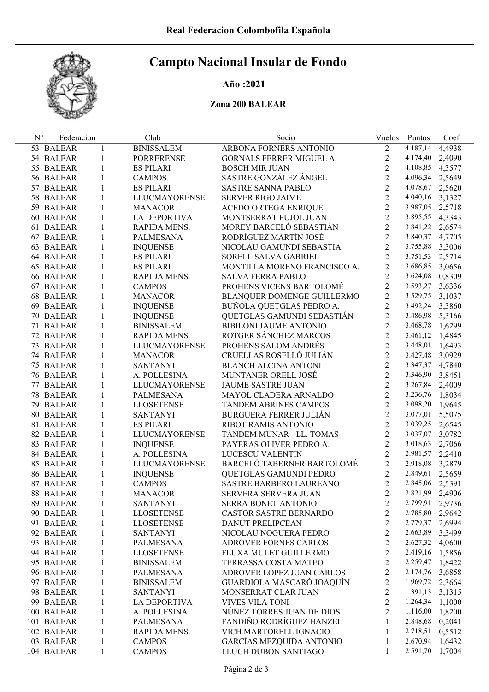# Campto Nacional Insular de Fondo

### Año :2021

## Zona 200 BALEAR

| $N^{\rm o}$ | Federacion |              | Club                 | Socio                           | Vuelos         | Puntos   | Coef   |
|-------------|------------|--------------|----------------------|---------------------------------|----------------|----------|--------|
|             | 53 BALEAR  | 1            | <b>BINISSALEM</b>    | ARBONA FORNERS ANTONIO          | $\overline{2}$ | 4.187,14 | 4,4938 |
|             | 54 BALEAR  | 1            | <b>PORRERENSE</b>    | <b>GORNALS FERRER MIGUEL A.</b> | $\sqrt{2}$     | 4.174,40 | 2,4090 |
|             | 55 BALEAR  | 1            | ES PILARI            | <b>BOSCH MIR JUAN</b>           | $\overline{2}$ | 4.108,85 | 4,3577 |
|             | 56 BALEAR  | 1            | <b>CAMPOS</b>        | SASTRE GONZÁLEZ ÁNGEL           | $\overline{2}$ | 4.096,34 | 2,5649 |
|             | 57 BALEAR  | $\mathbf{1}$ | <b>ES PILARI</b>     | <b>SASTRE SANNA PABLO</b>       | $\overline{2}$ | 4.078,67 | 2,5620 |
|             | 58 BALEAR  | $\mathbf{1}$ | <b>LLUCMAYORENSE</b> | <b>SERVER RIGO JAIME</b>        | $\overline{2}$ | 4.040,16 | 3,1327 |
|             | 59 BALEAR  | $\mathbf{1}$ | <b>MANACOR</b>       | ACEDO ORTEGA ENRIQUE            | $\overline{2}$ | 3.987,05 | 2,5718 |
|             | 60 BALEAR  | $\mathbf{1}$ | LA DEPORTIVA         | MONTSERRAT PUJOL JUAN           | $\overline{2}$ | 3.895,55 | 4,3343 |
|             | 61 BALEAR  | $\mathbf{1}$ | RAPIDA MENS.         | MOREY BARCELÓ SEBASTIÁN         | $\overline{2}$ | 3.841,22 | 2,6574 |
|             | 62 BALEAR  | $\mathbf{1}$ | PALMESANA            | RODRÍGUEZ MARTÍN JOSÉ           | $\overline{2}$ | 3.840,37 | 4,7705 |
|             | 63 BALEAR  | 1            | <b>INQUENSE</b>      | NICOLAU GAMUNDI SEBASTIA        | $\overline{2}$ | 3.755,88 | 3,3006 |
|             | 64 BALEAR  | 1            | ES PILARI            | SORELL SALVA GABRIEL            | $\overline{2}$ | 3.751,53 | 2,5714 |
|             | 65 BALEAR  | $\mathbf{1}$ | ES PILARI            | MONTILLA MORENO FRANCISCO A.    | $\overline{2}$ | 3.686,85 | 3,0656 |
|             | 66 BALEAR  | $\mathbf{1}$ | RAPIDA MENS.         | <b>SALVA FERRA PABLO</b>        | $\overline{2}$ | 3.624,08 | 0,8309 |
|             | 67 BALEAR  | $\mathbf{1}$ | <b>CAMPOS</b>        | PROHENS VICENS BARTOLOMÉ        | $\overline{2}$ | 3.593,27 | 3,6336 |
|             | 68 BALEAR  | 1            | <b>MANACOR</b>       | BLANQUER DOMENGE GUILLERMO      | $\overline{2}$ | 3.529,75 | 3,1037 |
|             | 69 BALEAR  | 1            | <b>INQUENSE</b>      | BUÑOLA QUETGLAS PEDRO A.        | $\overline{2}$ | 3.492,24 | 3,3860 |
|             | 70 BALEAR  | 1            | <b>INQUENSE</b>      | QUETGLAS GAMUNDI SEBASTIÁN      | $\overline{2}$ | 3.486,98 | 5,3166 |
|             | 71 BALEAR  | 1            | <b>BINISSALEM</b>    | BIBILONI JAUME ANTONIO          | $\overline{2}$ | 3.468,78 | 1,6299 |
|             | 72 BALEAR  | 1            | RAPIDA MENS.         | ROTGER SÁNCHEZ MARCOS           | $\overline{2}$ | 3.461,12 | 1,4845 |
|             | 73 BALEAR  | $\mathbf{1}$ | <b>LLUCMAYORENSE</b> | PROHENS SALOM ANDRÉS            | $\overline{2}$ | 3.448,01 | 1,6493 |
|             | 74 BALEAR  | $\mathbf{1}$ | <b>MANACOR</b>       | CRUELLAS ROSELLÓ JULIÁN         | $\overline{2}$ | 3.427,48 | 3,0929 |
|             | 75 BALEAR  | $\mathbf{1}$ | <b>SANTANYI</b>      | <b>BLANCH ALCINA ANTONI</b>     | $\overline{2}$ | 3.347,37 | 4,7840 |
|             | 76 BALEAR  | $\mathbf{1}$ | A. POLLESINA         | MUNTANER ORELL JOSÉ             | $\overline{2}$ | 3.346,90 | 3,8451 |
|             | 77 BALEAR  | $\mathbf{1}$ | <b>LLUCMAYORENSE</b> | JAUME SASTRE JUAN               | $\overline{2}$ | 3.267,84 | 2,4009 |
|             | 78 BALEAR  | 1            | PALMESANA            | MAYOL CLADERA ARNALDO           | $\overline{2}$ | 3.236,76 | 1,8034 |
|             | 79 BALEAR  | $\mathbf{1}$ | <b>LLOSETENSE</b>    | TÁNDEM ABRINES CAMPOS           | $\overline{2}$ | 3.098,20 | 1,9645 |
|             | 80 BALEAR  | 1            | <b>SANTANYI</b>      | <b>BURGUERA FERRER JULIAN</b>   | $\overline{2}$ | 3.077,01 | 5,5075 |
|             | 81 BALEAR  | $\mathbf{1}$ | <b>ES PILARI</b>     | RIBOT RAMIS ANTONIO             | $\overline{2}$ | 3.039,25 | 2,6545 |
|             | 82 BALEAR  | $\mathbf{1}$ | <b>LLUCMAYORENSE</b> | TÁNDEM MUNAR - LL. TOMAS        | $\overline{2}$ | 3.037,07 | 3,0782 |
|             | 83 BALEAR  | 1            | <b>INQUENSE</b>      | PAYERAS OLIVER PEDRO A.         | $\overline{2}$ | 3.018,63 | 2,7066 |
|             | 84 BALEAR  | 1            | A. POLLESINA         | LUCESCU VALENTIN                | $\overline{2}$ | 2.981,57 | 2,2410 |
|             | 85 BALEAR  | 1            | <b>LLUCMAYORENSE</b> | BARCELÓ TABERNER BARTOLOMÉ      | $\overline{2}$ | 2.918,08 | 3,2879 |
|             | 86 BALEAR  | $\mathbf{1}$ | <b>INQUENSE</b>      | QUETGLAS GAMUNDI PEDRO          | $\overline{2}$ | 2.849,61 | 2,5659 |
|             | 87 BALEAR  | 1            | <b>CAMPOS</b>        | SASTRE BARBERO LAUREANO         | $\overline{2}$ | 2.845,06 | 2,5391 |
|             | 88 BALEAR  | 1            | <b>MANACOR</b>       | SERVERA SERVERA JUAN            | $\overline{2}$ | 2.821,99 | 2,4906 |
|             | 89 BALEAR  | 1            | SANTANYI             | SERRA BONET ANTONIO             | 2              | 2.799,91 | 2,9736 |
|             | 90 BALEAR  | 1            | <b>LLOSETENSE</b>    | <b>CASTOR SASTRE BERNARDO</b>   | 2              | 2.785,80 | 2,9642 |
|             | 91 BALEAR  | 1            | <b>LLOSETENSE</b>    | <b>DANUT PRELIPCEAN</b>         | $\overline{c}$ | 2.779,37 | 2,6994 |
|             | 92 BALEAR  | 1            | <b>SANTANYI</b>      | NICOLAU NOGUERA PEDRO           | $\overline{c}$ | 2.663,89 | 3,3499 |
|             | 93 BALEAR  | 1            | <b>PALMESANA</b>     | ADRÓVER FORNES CARLOS           | $\overline{c}$ | 2.627,32 | 4,0600 |
|             | 94 BALEAR  | 1            | <b>LLOSETENSE</b>    | FLUXA MULET GUILLERMO           | $\overline{c}$ | 2.419,16 | 1,5856 |
|             | 95 BALEAR  | $\mathbf{1}$ | <b>BINISSALEM</b>    | TERRASSA COSTA MATEO            | $\overline{c}$ | 2.259,47 | 1,8422 |
|             | 96 BALEAR  | $\mathbf{1}$ | <b>PALMESANA</b>     | ADROVER LÓPEZ JUAN CARLOS       | $\overline{c}$ | 2.174,76 | 3,6858 |
|             | 97 BALEAR  | 1            | <b>BINISSALEM</b>    | GUARDIOLA MASCARÓ JOAQUÍN       | $\overline{c}$ | 1.969,72 | 2,3664 |
|             | 98 BALEAR  | $\mathbf{1}$ | SANTANYI             | MONSERRAT CLAR JUAN             | $\overline{c}$ | 1.391,13 | 3,1315 |
|             | 99 BALEAR  | $\mathbf{1}$ | <b>LA DEPORTIVA</b>  | <b>VIVES VILA TONI</b>          | $\overline{c}$ | 1.264,34 | 1,1000 |
|             | 100 BALEAR | 1            | A. POLLESINA         | NÚÑEZ TORRES JUAN DE DIOS       | $\overline{2}$ | 1.116,00 | 1,8200 |
|             | 101 BALEAR | $\mathbf{1}$ | <b>PALMESANA</b>     | FANDIÑO RODRÍGUEZ HANZEL        | 1              | 2.848,68 | 0,2041 |
|             | 102 BALEAR | $\mathbf{1}$ | RAPIDA MENS.         | VICH MARTORELL IGNACIO          | 1              | 2.718,51 | 0,5512 |
|             | 103 BALEAR | 1            | <b>CAMPOS</b>        | <b>GARCÍAS MEZQUIDA ANTONIO</b> | 1              | 2.670,94 | 1,6432 |
|             | 104 BALEAR | $\mathbf{1}$ | <b>CAMPOS</b>        | LLUCH DUBÓN SANTIAGO            | 1              | 2.591,70 | 1,7004 |
|             |            |              |                      |                                 |                |          |        |